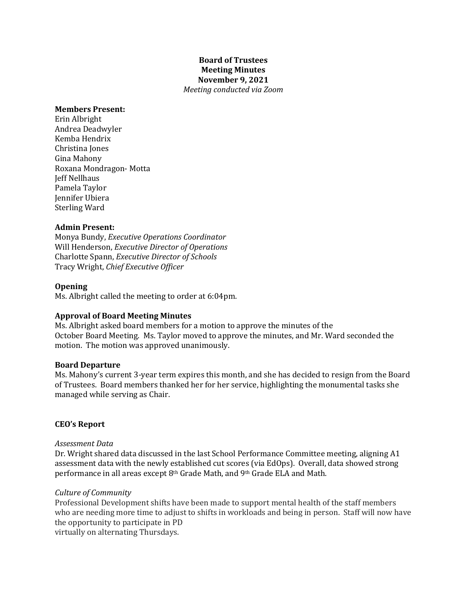# **Board of Trustees Meeting Minutes November 9, 2021** *Meeting conducted via Zoom*

### **Members Present:**

Erin Albright Andrea Deadwyler Kemba Hendrix Christina Jones Gina Mahony Roxana Mondragon- Motta **Jeff Nellhaus** Pamela Taylor Jennifer Ubiera Sterling Ward

# **Admin Present:**

Monya Bundy, *Executive Operations Coordinator* Will Henderson, *Executive Director of Operations* Charlotte Spann, *Executive Director of Schools* Tracy Wright, *Chief Executive Officer*

### **Opening**

Ms. Albright called the meeting to order at 6:04pm.

# **Approval of Board Meeting Minutes**

Ms. Albright asked board members for a motion to approve the minutes of the October Board Meeting. Ms. Taylor moved to approve the minutes, and Mr. Ward seconded the motion. The motion was approved unanimously.

### **Board Departure**

Ms. Mahony's current 3-year term expires this month, and she has decided to resign from the Board of Trustees. Board members thanked her for her service, highlighting the monumental tasks she managed while serving as Chair.

# **CEO's Report**

#### *Assessment Data*

Dr. Wright shared data discussed in the last School Performance Committee meeting, aligning A1 assessment data with the newly established cut scores (via EdOps). Overall, data showed strong performance in all areas except 8<sup>th</sup> Grade Math, and 9<sup>th</sup> Grade ELA and Math.

#### *Culture of Community*

Professional Development shifts have been made to support mental health of the staff members who are needing more time to adjust to shifts in workloads and being in person. Staff will now have the opportunity to participate in PD virtually on alternating Thursdays.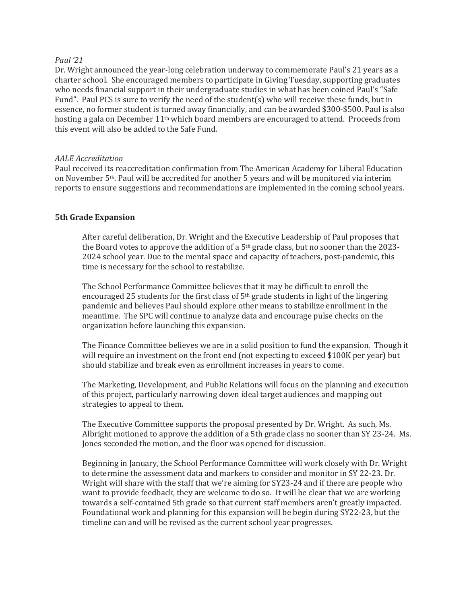### *Paul '21*

Dr. Wright announced the year-long celebration underway to commemorate Paul's 21 years as a charter school. She encouraged members to participate in Giving Tuesday, supporting graduates who needs financial support in their undergraduate studies in what has been coined Paul's "Safe Fund". Paul PCS is sure to verify the need of the student(s) who will receive these funds, but in essence, no former student is turned away financially, and can be awarded \$300-\$500. Paul is also hosting a gala on December 11<sup>th</sup> which board members are encouraged to attend. Proceeds from this event will also be added to the Safe Fund.

### *AALE Accreditation*

Paul received its reaccreditation confirmation from The American Academy for Liberal Education on November 5<sup>th</sup>. Paul will be accredited for another 5 years and will be monitored via interim reports to ensure suggestions and recommendations are implemented in the coming school years.

# **5th Grade Expansion**

After careful deliberation, Dr. Wright and the Executive Leadership of Paul proposes that the Board votes to approve the addition of a  $5<sup>th</sup>$  grade class, but no sooner than the 2023-2024 school year. Due to the mental space and capacity of teachers, post-pandemic, this time is necessary for the school to restabilize.

The School Performance Committee believes that it may be difficult to enroll the encouraged 25 students for the first class of  $5<sup>th</sup>$  grade students in light of the lingering pandemic and believes Paul should explore other means to stabilize enrollment in the meantime. The SPC will continue to analyze data and encourage pulse checks on the organization before launching this expansion.

The Finance Committee believes we are in a solid position to fund the expansion. Though it will require an investment on the front end (not expecting to exceed \$100K per year) but should stabilize and break even as enrollment increases in years to come.

The Marketing, Development, and Public Relations will focus on the planning and execution of this project, particularly narrowing down ideal target audiences and mapping out strategies to appeal to them.

The Executive Committee supports the proposal presented by Dr. Wright. As such, Ms. Albright motioned to approve the addition of a 5th grade class no sooner than SY 23-24. Ms. Jones seconded the motion, and the floor was opened for discussion.

Beginning in January, the School Performance Committee will work closely with Dr. Wright to determine the assessment data and markers to consider and monitor in SY 22-23. Dr. Wright will share with the staff that we're aiming for SY23-24 and if there are people who want to provide feedback, they are welcome to do so. It will be clear that we are working towards a self-contained 5th grade so that current staff members aren't greatly impacted. Foundational work and planning for this expansion will be begin during SY22-23, but the timeline can and will be revised as the current school year progresses.